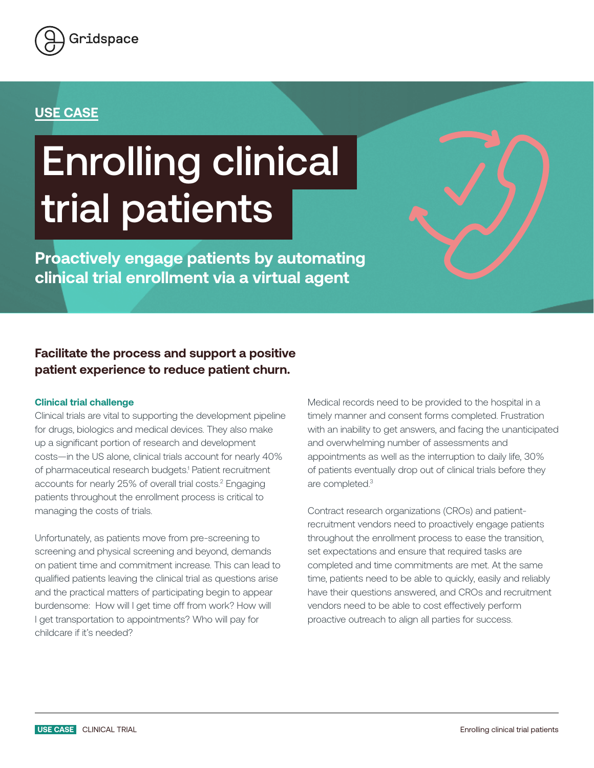

### **USE CASE**

# Enrolling clinical trial patients

**Proactively engage patients by automating clinical trial enrollment via a virtual agent** 

**Facilitate the process and support a positive patient experience to reduce patient churn.**

#### **Clinical trial challenge**

Clinical trials are vital to supporting the development pipeline for drugs, biologics and medical devices. They also make up a significant portion of research and development costs—in the US alone, clinical trials account for nearly 40% of pharmaceutical research budgets.<sup>1</sup> Patient recruitment accounts for nearly 25% of overall trial costs.<sup>2</sup> Engaging patients throughout the enrollment process is critical to managing the costs of trials.

Unfortunately, as patients move from pre-screening to screening and physical screening and beyond, demands on patient time and commitment increase. This can lead to qualified patients leaving the clinical trial as questions arise and the practical matters of participating begin to appear burdensome: How will I get time off from work? How will I get transportation to appointments? Who will pay for childcare if it's needed?

Medical records need to be provided to the hospital in a timely manner and consent forms completed. Frustration with an inability to get answers, and facing the unanticipated and overwhelming number of assessments and appointments as well as the interruption to daily life, 30% of patients eventually drop out of clinical trials before they are completed.3

Contract research organizations (CROs) and patientrecruitment vendors need to proactively engage patients throughout the enrollment process to ease the transition, set expectations and ensure that required tasks are completed and time commitments are met. At the same time, patients need to be able to quickly, easily and reliably have their questions answered, and CROs and recruitment vendors need to be able to cost effectively perform proactive outreach to align all parties for success.